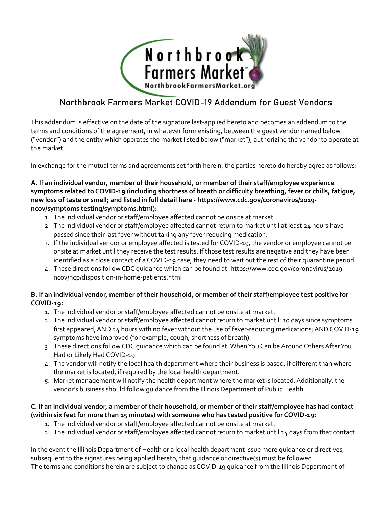

# Northbrook Farmers Market COVID-19 Addendum for Guest Vendors

This addendum is effective on the date of the signature last-applied hereto and becomes an addendum to the terms and conditions of the agreement, in whatever form existing, between the guest vendor named below ("vendor") and the entity which operates the market listed below ("market"), authorizing the vendor to operate at the market.

In exchange for the mutual terms and agreements set forth herein, the parties hereto do hereby agree as follows:

#### **A. If an individual vendor, member of their household, or member of their staff/employee experience symptoms related to COVID-19 (including shortness of breath or difficulty breathing, fever or chills, fatigue, new loss of taste or smell; and listed in full detail here - https://www.cdc.gov/coronavirus/2019 ncov/symptoms testing/symptoms.html):**

- 1. The individual vendor or staff/employee affected cannot be onsite at market.
- 2. The individual vendor or staff/employee affected cannot return to market until at least 24 hours have passed since their last fever without taking any fever reducing medication.
- 3. If the individual vendor or employee affected is tested for COVID-19, the vendor or employee cannot be onsite at market until they receive the test results. If those test results are negative and they have been identified as a close contact of a COVID-19 case, they need to wait out the rest of their quarantine period.
- 4. These directions follow CDC guidance which can be found at: https://www.cdc.gov/coronavirus/2019 ncov/hcp/disposition-in-home-patients.html

## **B. If an individual vendor, member of their household, or member of their staff/employee test positive for COVID-19:**

- 1. The individual vendor or staff/employee affected cannot be onsite at market.
- 2. The individual vendor or staff/employee affected cannot return to market until: 10 days since symptoms first appeared; AND 24 hours with no fever without the use of fever-reducing medications; AND COVID-19 symptoms have improved (for example, cough, shortness of breath).
- 3. These directions follow CDC guidance which can be found at: When You Can be Around Others After You Had or Likely Had COVID-19.
- 4. The vendor will notify the local health department where their business is based, if different than where the market is located, if required by the local health department.
- 5. Market management will notify the health department where the market is located. Additionally, the vendor's business should follow guidance from the Illinois Department of Public Health.

## **C. If an individual vendor, a member of their household, or member of their staff/employee has had contact (within six feet for more than 15 minutes) with someone who has tested positive for COVID-19:**

- 1. The individual vendor or staff/employee affected cannot be onsite at market.
- 2. The individual vendor or staff/employee affected cannot return to market until 14 days from that contact.

In the event the Illinois Department of Health or a local health department issue more guidance or directives, subsequent to the signatures being applied hereto, that guidance or directive(s) must be followed. The terms and conditions herein are subject to change as COVID-19 guidance from the Illinois Department of